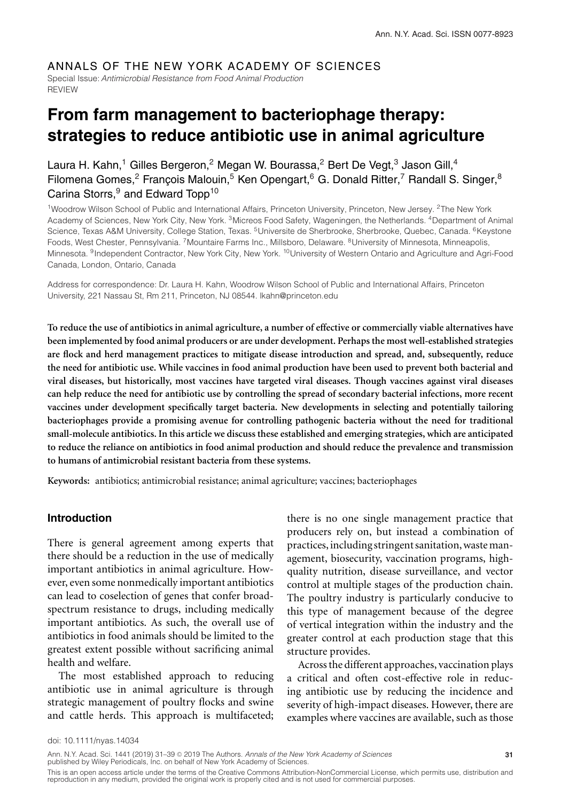# ANNALS OF THE NEW YORK ACADEMY OF SCIENCES

Special Issue:*Antimicrobial Resistance from Food Animal Production* REVIEW

# **From farm management to bacteriophage therapy: strategies to reduce antibiotic use in animal agriculture**

Laura H. Kahn,<sup>1</sup> Gilles Bergeron,<sup>2</sup> Megan W. Bourassa,<sup>2</sup> Bert De Vegt,<sup>3</sup> Jason Gill,<sup>4</sup> Filomena Gomes,<sup>2</sup> François Malouin,<sup>5</sup> Ken Opengart,<sup>6</sup> G. Donald Ritter,<sup>7</sup> Randall S. Singer,<sup>8</sup> Carina Storrs,  $9$  and Edward Topp<sup>10</sup>

<sup>1</sup>Woodrow Wilson School of Public and International Affairs, Princeton University, Princeton, New Jersey. <sup>2</sup>The New York Academy of Sciences, New York City, New York. 3Micreos Food Safety, Wageningen, the Netherlands. 4Department of Animal Science, Texas A&M University, College Station, Texas. <sup>5</sup>Universite de Sherbrooke, Sherbrooke, Quebec, Canada. <sup>6</sup>Keystone Foods, West Chester, Pennsylvania. 7Mountaire Farms Inc., Millsboro, Delaware. 8University of Minnesota, Minneapolis, Minnesota. <sup>9</sup>Independent Contractor, New York City, New York. <sup>10</sup>University of Western Ontario and Agriculture and Agri-Food Canada, London, Ontario, Canada

Address for correspondence: Dr. Laura H. Kahn, Woodrow Wilson School of Public and International Affairs, Princeton University, 221 Nassau St, Rm 211, Princeton, NJ 08544. lkahn@princeton.edu

**To reduce the use of antibiotics in animal agriculture, a number of effective or commercially viable alternatives have been implemented by food animal producers or are under development. Perhaps the most well-established strategies are flock and herd management practices to mitigate disease introduction and spread, and, subsequently, reduce the need for antibiotic use. While vaccines in food animal production have been used to prevent both bacterial and viral diseases, but historically, most vaccines have targeted viral diseases. Though vaccines against viral diseases can help reduce the need for antibiotic use by controlling the spread of secondary bacterial infections, more recent vaccines under development specifically target bacteria. New developments in selecting and potentially tailoring bacteriophages provide a promising avenue for controlling pathogenic bacteria without the need for traditional small-molecule antibiotics. In this article we discuss these established and emerging strategies, which are anticipated to reduce the reliance on antibiotics in food animal production and should reduce the prevalence and transmission to humans of antimicrobial resistant bacteria from these systems.**

**Keywords:** antibiotics; antimicrobial resistance; animal agriculture; vaccines; bacteriophages

### **Introduction**

There is general agreement among experts that there should be a reduction in the use of medically important antibiotics in animal agriculture. However, even some nonmedically important antibiotics can lead to coselection of genes that confer broadspectrum resistance to drugs, including medically important antibiotics. As such, the overall use of antibiotics in food animals should be limited to the greatest extent possible without sacrificing animal health and welfare.

The most established approach to reducing antibiotic use in animal agriculture is through strategic management of poultry flocks and swine and cattle herds. This approach is multifaceted;

there is no one single management practice that producers rely on, but instead a combination of practices, including stringent sanitation,wastemanagement, biosecurity, vaccination programs, highquality nutrition, disease surveillance, and vector control at multiple stages of the production chain. The poultry industry is particularly conducive to this type of management because of the degree of vertical integration within the industry and the greater control at each production stage that this structure provides.

Across the different approaches, vaccination plays a critical and often cost-effective role in reducing antibiotic use by reducing the incidence and severity of high-impact diseases. However, there are examples where vaccines are available, such as those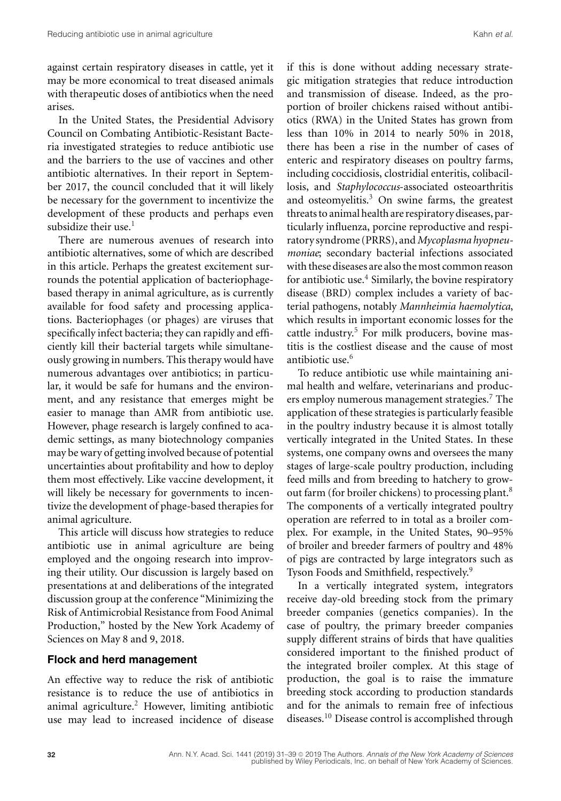against certain respiratory diseases in cattle, yet it may be more economical to treat diseased animals with therapeutic doses of antibiotics when the need arises.

In the United States, the Presidential Advisory Council on Combating Antibiotic-Resistant Bacteria investigated strategies to reduce antibiotic use and the barriers to the use of vaccines and other antibiotic alternatives. In their report in September 2017, the council concluded that it will likely be necessary for the government to incentivize the development of these products and perhaps even subsidize their use. $1$ 

There are numerous avenues of research into antibiotic alternatives, some of which are described in this article. Perhaps the greatest excitement surrounds the potential application of bacteriophagebased therapy in animal agriculture, as is currently available for food safety and processing applications. Bacteriophages (or phages) are viruses that specifically infect bacteria; they can rapidly and efficiently kill their bacterial targets while simultaneously growing in numbers. This therapy would have numerous advantages over antibiotics; in particular, it would be safe for humans and the environment, and any resistance that emerges might be easier to manage than AMR from antibiotic use. However, phage research is largely confined to academic settings, as many biotechnology companies may be wary of getting involved because of potential uncertainties about profitability and how to deploy them most effectively. Like vaccine development, it will likely be necessary for governments to incentivize the development of phage-based therapies for animal agriculture.

This article will discuss how strategies to reduce antibiotic use in animal agriculture are being employed and the ongoing research into improving their utility. Our discussion is largely based on presentations at and deliberations of the integrated discussion group at the conference "Minimizing the Risk of Antimicrobial Resistance from Food Animal Production," hosted by the New York Academy of Sciences on May 8 and 9, 2018.

## **Flock and herd management**

An effective way to reduce the risk of antibiotic resistance is to reduce the use of antibiotics in animal agriculture.2 However, limiting antibiotic use may lead to increased incidence of disease

if this is done without adding necessary strategic mitigation strategies that reduce introduction and transmission of disease. Indeed, as the proportion of broiler chickens raised without antibiotics (RWA) in the United States has grown from less than 10% in 2014 to nearly 50% in 2018, there has been a rise in the number of cases of enteric and respiratory diseases on poultry farms, including coccidiosis, clostridial enteritis, colibacillosis, and *Staphylococcus*-associated osteoarthritis and osteomyelitis.<sup>3</sup> On swine farms, the greatest threats to animal health are respiratory diseases, particularly influenza, porcine reproductive and respiratory syndrome (PRRS), and*Mycoplasma hyopneumoniae*; secondary bacterial infections associated with these diseases are also the most common reason for antibiotic use.<sup>4</sup> Similarly, the bovine respiratory disease (BRD) complex includes a variety of bacterial pathogens, notably *Mannheimia haemolytica*, which results in important economic losses for the cattle industry.<sup>5</sup> For milk producers, bovine mastitis is the costliest disease and the cause of most antibiotic use.<sup>6</sup>

To reduce antibiotic use while maintaining animal health and welfare, veterinarians and producers employ numerous management strategies.<sup>7</sup> The application of these strategies is particularly feasible in the poultry industry because it is almost totally vertically integrated in the United States. In these systems, one company owns and oversees the many stages of large-scale poultry production, including feed mills and from breeding to hatchery to growout farm (for broiler chickens) to processing plant.8 The components of a vertically integrated poultry operation are referred to in total as a broiler complex. For example, in the United States, 90–95% of broiler and breeder farmers of poultry and 48% of pigs are contracted by large integrators such as Tyson Foods and Smithfield, respectively.<sup>9</sup>

In a vertically integrated system, integrators receive day-old breeding stock from the primary breeder companies (genetics companies). In the case of poultry, the primary breeder companies supply different strains of birds that have qualities considered important to the finished product of the integrated broiler complex. At this stage of production, the goal is to raise the immature breeding stock according to production standards and for the animals to remain free of infectious diseases.10 Disease control is accomplished through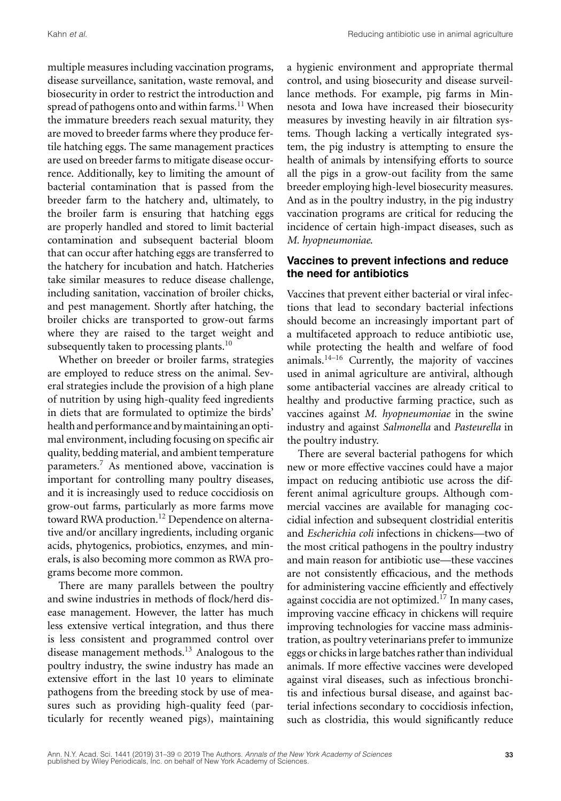multiple measures including vaccination programs, disease surveillance, sanitation, waste removal, and biosecurity in order to restrict the introduction and spread of pathogens onto and within farms.<sup>11</sup> When the immature breeders reach sexual maturity, they are moved to breeder farms where they produce fertile hatching eggs. The same management practices are used on breeder farms to mitigate disease occurrence. Additionally, key to limiting the amount of bacterial contamination that is passed from the breeder farm to the hatchery and, ultimately, to the broiler farm is ensuring that hatching eggs are properly handled and stored to limit bacterial contamination and subsequent bacterial bloom that can occur after hatching eggs are transferred to the hatchery for incubation and hatch. Hatcheries take similar measures to reduce disease challenge, including sanitation, vaccination of broiler chicks, and pest management. Shortly after hatching, the broiler chicks are transported to grow-out farms where they are raised to the target weight and subsequently taken to processing plants.<sup>10</sup>

Whether on breeder or broiler farms, strategies are employed to reduce stress on the animal. Several strategies include the provision of a high plane of nutrition by using high-quality feed ingredients in diets that are formulated to optimize the birds' health and performance and bymaintaining an optimal environment, including focusing on specific air quality, bedding material, and ambient temperature parameters.<sup>7</sup> As mentioned above, vaccination is important for controlling many poultry diseases, and it is increasingly used to reduce coccidiosis on grow-out farms, particularly as more farms move toward RWA production.<sup>12</sup> Dependence on alternative and/or ancillary ingredients, including organic acids, phytogenics, probiotics, enzymes, and minerals, is also becoming more common as RWA programs become more common.

There are many parallels between the poultry and swine industries in methods of flock/herd disease management. However, the latter has much less extensive vertical integration, and thus there is less consistent and programmed control over disease management methods.<sup>13</sup> Analogous to the poultry industry, the swine industry has made an extensive effort in the last 10 years to eliminate pathogens from the breeding stock by use of measures such as providing high-quality feed (particularly for recently weaned pigs), maintaining a hygienic environment and appropriate thermal control, and using biosecurity and disease surveillance methods. For example, pig farms in Minnesota and Iowa have increased their biosecurity measures by investing heavily in air filtration systems. Though lacking a vertically integrated system, the pig industry is attempting to ensure the health of animals by intensifying efforts to source all the pigs in a grow-out facility from the same breeder employing high-level biosecurity measures. And as in the poultry industry, in the pig industry vaccination programs are critical for reducing the incidence of certain high-impact diseases, such as *M. hyopneumoniae*.

# **Vaccines to prevent infections and reduce the need for antibiotics**

Vaccines that prevent either bacterial or viral infections that lead to secondary bacterial infections should become an increasingly important part of a multifaceted approach to reduce antibiotic use, while protecting the health and welfare of food animals. $14-16$  Currently, the majority of vaccines used in animal agriculture are antiviral, although some antibacterial vaccines are already critical to healthy and productive farming practice, such as vaccines against *M. hyopneumoniae* in the swine industry and against *Salmonella* and *Pasteurella* in the poultry industry.

There are several bacterial pathogens for which new or more effective vaccines could have a major impact on reducing antibiotic use across the different animal agriculture groups. Although commercial vaccines are available for managing coccidial infection and subsequent clostridial enteritis and *Escherichia coli* infections in chickens—two of the most critical pathogens in the poultry industry and main reason for antibiotic use—these vaccines are not consistently efficacious, and the methods for administering vaccine efficiently and effectively against coccidia are not optimized.<sup>17</sup> In many cases, improving vaccine efficacy in chickens will require improving technologies for vaccine mass administration, as poultry veterinarians prefer to immunize eggs or chicks in large batches rather than individual animals. If more effective vaccines were developed against viral diseases, such as infectious bronchitis and infectious bursal disease, and against bacterial infections secondary to coccidiosis infection, such as clostridia, this would significantly reduce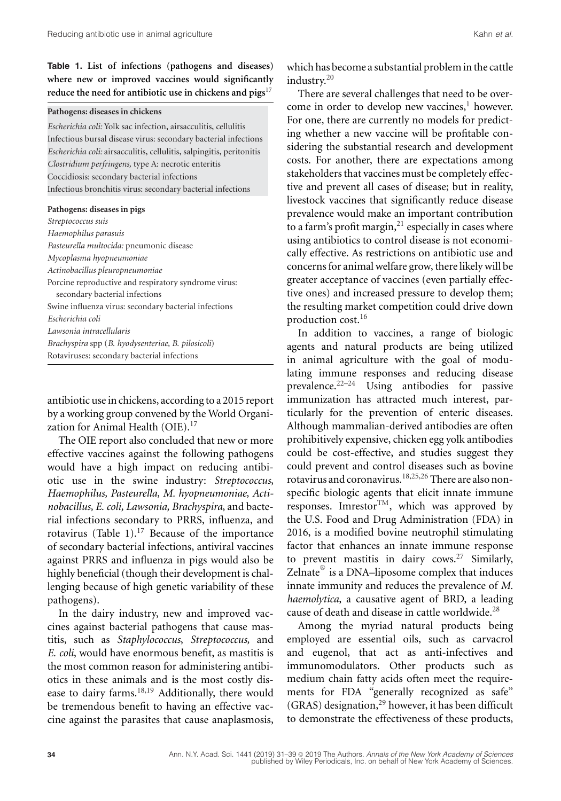**Table 1. List of infections (pathogens and diseases) where new or improved vaccines would significantly reduce the need for antibiotic use in chickens and pigs**<sup>17</sup>

#### **Pathogens: diseases in chickens**

*Escherichia coli:* Yolk sac infection, airsacculitis, cellulitis Infectious bursal disease virus: secondary bacterial infections *Escherichia coli:* airsacculitis, cellulitis, salpingitis, peritonitis *Clostridium perfringens,* type A: necrotic enteritis Coccidiosis: secondary bacterial infections Infectious bronchitis virus: secondary bacterial infections

#### **Pathogens: diseases in pigs**

*Streptococcus suis Haemophilus parasuis Pasteurella multocida:* pneumonic disease *Mycoplasma hyopneumoniae Actinobacillus pleuropneumoniae* Porcine reproductive and respiratory syndrome virus: secondary bacterial infections Swine influenza virus: secondary bacterial infections *Escherichia coli Lawsonia intracellularis Brachyspira* spp (*B*. *hyodysenteriae*, *B*. *pilosicoli*) Rotaviruses: secondary bacterial infections

antibiotic use in chickens, according to a 2015 report by a working group convened by the World Organization for Animal Health (OIE).<sup>17</sup>

The OIE report also concluded that new or more effective vaccines against the following pathogens would have a high impact on reducing antibiotic use in the swine industry: *Streptococcus*, *Haemophilus, Pasteurella, M. hyopneumoniae, Actinobacillus, E. coli, Lawsonia, Brachyspira*, and bacterial infections secondary to PRRS, influenza, and rotavirus (Table 1).<sup>17</sup> Because of the importance of secondary bacterial infections, antiviral vaccines against PRRS and influenza in pigs would also be highly beneficial (though their development is challenging because of high genetic variability of these pathogens).

In the dairy industry, new and improved vaccines against bacterial pathogens that cause mastitis, such as *Staphylococcus*, *Streptococcus,* and *E. coli*, would have enormous benefit, as mastitis is the most common reason for administering antibiotics in these animals and is the most costly disease to dairy farms. $18,19$  Additionally, there would be tremendous benefit to having an effective vaccine against the parasites that cause anaplasmosis, which has become a substantial problem in the cattle industry.<sup>20</sup>

There are several challenges that need to be overcome in order to develop new vaccines, $<sup>1</sup>$  however.</sup> For one, there are currently no models for predicting whether a new vaccine will be profitable considering the substantial research and development costs. For another, there are expectations among stakeholders that vaccines must be completely effective and prevent all cases of disease; but in reality, livestock vaccines that significantly reduce disease prevalence would make an important contribution to a farm's profit margin, $^{21}$  especially in cases where using antibiotics to control disease is not economically effective. As restrictions on antibiotic use and concerns for animal welfare grow, there likely will be greater acceptance of vaccines (even partially effective ones) and increased pressure to develop them; the resulting market competition could drive down production cost.<sup>16</sup>

In addition to vaccines, a range of biologic agents and natural products are being utilized in animal agriculture with the goal of modulating immune responses and reducing disease prevalence.22–24 Using antibodies for passive immunization has attracted much interest, particularly for the prevention of enteric diseases. Although mammalian-derived antibodies are often prohibitively expensive, chicken egg yolk antibodies could be cost-effective, and studies suggest they could prevent and control diseases such as bovine rotavirus and coronavirus.18,25,26 There are also nonspecific biologic agents that elicit innate immune responses. Imrestor $TM$ , which was approved by the U.S. Food and Drug Administration (FDA) in 2016, is a modified bovine neutrophil stimulating factor that enhances an innate immune response to prevent mastitis in dairy cows.<sup>27</sup> Similarly, Zelnate ${}^{\scriptscriptstyle\text{\textregistered}}$  is a DNA–liposome complex that induces innate immunity and reduces the prevalence of *M. haemolytica*, a causative agent of BRD, a leading cause of death and disease in cattle worldwide.<sup>28</sup>

Among the myriad natural products being employed are essential oils, such as carvacrol and eugenol, that act as anti-infectives and immunomodulators. Other products such as medium chain fatty acids often meet the requirements for FDA "generally recognized as safe"  $(GRAS)$  designation,<sup>29</sup> however, it has been difficult to demonstrate the effectiveness of these products,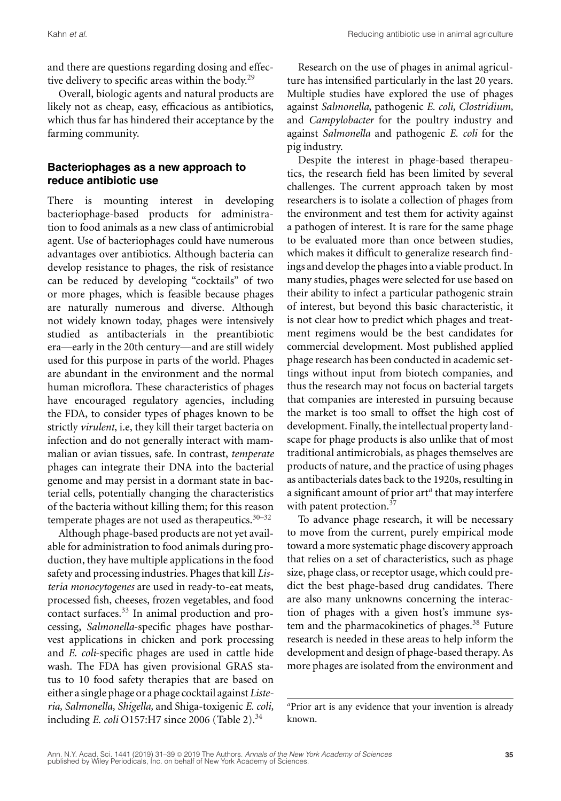and there are questions regarding dosing and effective delivery to specific areas within the body.<sup>29</sup>

Overall, biologic agents and natural products are likely not as cheap, easy, efficacious as antibiotics, which thus far has hindered their acceptance by the farming community.

# **Bacteriophages as a new approach to reduce antibiotic use**

There is mounting interest in developing bacteriophage-based products for administration to food animals as a new class of antimicrobial agent. Use of bacteriophages could have numerous advantages over antibiotics. Although bacteria can develop resistance to phages, the risk of resistance can be reduced by developing "cocktails" of two or more phages, which is feasible because phages are naturally numerous and diverse. Although not widely known today, phages were intensively studied as antibacterials in the preantibiotic era—early in the 20th century—and are still widely used for this purpose in parts of the world. Phages are abundant in the environment and the normal human microflora. These characteristics of phages have encouraged regulatory agencies, including the FDA, to consider types of phages known to be strictly *virulent*, i.e, they kill their target bacteria on infection and do not generally interact with mammalian or avian tissues, safe. In contrast, *temperate* phages can integrate their DNA into the bacterial genome and may persist in a dormant state in bacterial cells, potentially changing the characteristics of the bacteria without killing them; for this reason temperate phages are not used as therapeutics.<sup>30-32</sup>

Although phage-based products are not yet available for administration to food animals during production, they have multiple applications in the food safety and processing industries. Phages that kill *Listeria monocytogenes* are used in ready-to-eat meats, processed fish, cheeses, frozen vegetables, and food contact surfaces.<sup>33</sup> In animal production and processing, *Salmonella*-specific phages have postharvest applications in chicken and pork processing and *E. coli*-specific phages are used in cattle hide wash. The FDA has given provisional GRAS status to 10 food safety therapies that are based on either a single phage or a phage cocktail against *Listeria, Salmonella, Shigella,* and Shiga-toxigenic *E. coli,* including *E. coli* O157:H7 since 2006 (Table 2).<sup>34</sup>

Research on the use of phages in animal agriculture has intensified particularly in the last 20 years. Multiple studies have explored the use of phages against *Salmonella*, pathogenic *E. coli, Clostridium,* and *Campylobacter* for the poultry industry and against *Salmonella* and pathogenic *E. coli* for the pig industry.

Despite the interest in phage-based therapeutics, the research field has been limited by several challenges. The current approach taken by most researchers is to isolate a collection of phages from the environment and test them for activity against a pathogen of interest. It is rare for the same phage to be evaluated more than once between studies, which makes it difficult to generalize research findings and develop the phages into a viable product. In many studies, phages were selected for use based on their ability to infect a particular pathogenic strain of interest, but beyond this basic characteristic, it is not clear how to predict which phages and treatment regimens would be the best candidates for commercial development. Most published applied phage research has been conducted in academic settings without input from biotech companies, and thus the research may not focus on bacterial targets that companies are interested in pursuing because the market is too small to offset the high cost of development. Finally, the intellectual property landscape for phage products is also unlike that of most traditional antimicrobials, as phages themselves are products of nature, and the practice of using phages as antibacterials dates back to the 1920s, resulting in a significant amount of prior art*<sup>a</sup>* that may interfere with patent protection.<sup>37</sup>

To advance phage research, it will be necessary to move from the current, purely empirical mode toward a more systematic phage discovery approach that relies on a set of characteristics, such as phage size, phage class, or receptor usage, which could predict the best phage-based drug candidates. There are also many unknowns concerning the interaction of phages with a given host's immune system and the pharmacokinetics of phages.<sup>38</sup> Future research is needed in these areas to help inform the development and design of phage-based therapy. As more phages are isolated from the environment and

*<sup>a</sup>*Prior art is any evidence that your invention is already known.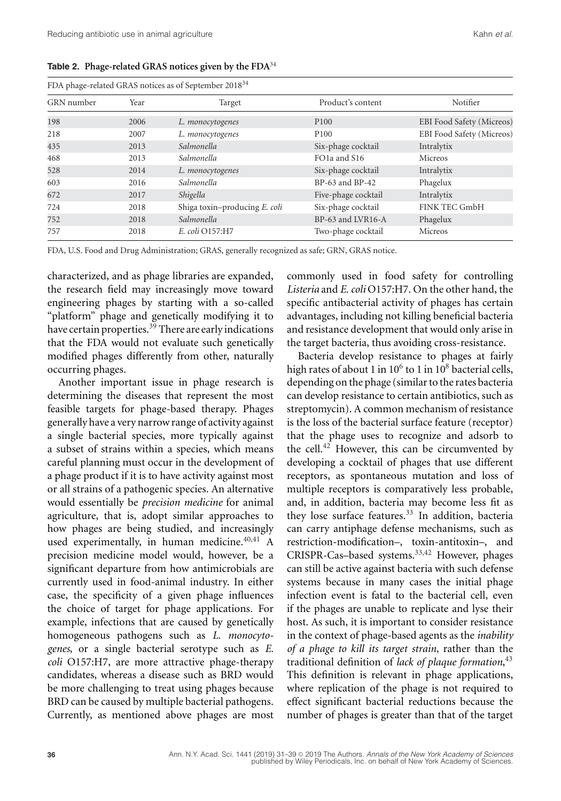|  | Table 2. Phage-related GRAS notices given by the FDA <sup>34</sup> |  |  |  |  |
|--|--------------------------------------------------------------------|--|--|--|--|
|--|--------------------------------------------------------------------|--|--|--|--|

| PDA phage-related GRAS hotices as of september 2016 |      |                               |                     |                                  |  |  |
|-----------------------------------------------------|------|-------------------------------|---------------------|----------------------------------|--|--|
| GRN number                                          | Year | Target                        | Product's content   | Notifier                         |  |  |
| 198                                                 | 2006 | L. monocytogenes              | P <sub>100</sub>    | <b>EBI</b> Food Safety (Micreos) |  |  |
| 218                                                 | 2007 | L. monocytogenes              | P <sub>100</sub>    | EBI Food Safety (Micreos)        |  |  |
| 435                                                 | 2013 | Salmonella                    | Six-phage cocktail  | Intralytix                       |  |  |
| 468                                                 | 2013 | Salmonella                    | FO1a and S16        | Micreos                          |  |  |
| 528                                                 | 2014 | L. monocytogenes              | Six-phage cocktail  | Intralytix                       |  |  |
| 603                                                 | 2016 | Salmonella                    | BP-63 and BP-42     | Phagelux                         |  |  |
| 672                                                 | 2017 | Shigella                      | Five-phage cocktail | Intralytix                       |  |  |
| 724                                                 | 2018 | Shiga toxin-producing E. coli | Six-phage cocktail  | FINK TEC GmbH                    |  |  |
| 752                                                 | 2018 | Salmonella                    | BP-63 and LVR16-A   | Phagelux                         |  |  |
| 757                                                 | 2018 | E. coli O157:H7               | Two-phage cocktail  | Micreos                          |  |  |

FDA phage-related GRAS notices as of September 2018<sup>34</sup>

FDA, U.S. Food and Drug Administration; GRAS, generally recognized as safe; GRN, GRAS notice.

characterized, and as phage libraries are expanded, the research field may increasingly move toward engineering phages by starting with a so-called "platform" phage and genetically modifying it to have certain properties.<sup>39</sup> There are early indications that the FDA would not evaluate such genetically modified phages differently from other, naturally occurring phages.

Another important issue in phage research is determining the diseases that represent the most feasible targets for phage-based therapy. Phages generally have a very narrow range of activity against a single bacterial species, more typically against a subset of strains within a species, which means careful planning must occur in the development of a phage product if it is to have activity against most or all strains of a pathogenic species. An alternative would essentially be *precision medicine* for animal agriculture, that is, adopt similar approaches to how phages are being studied, and increasingly used experimentally, in human medicine. $40,41$  A precision medicine model would, however, be a significant departure from how antimicrobials are currently used in food-animal industry. In either case, the specificity of a given phage influences the choice of target for phage applications. For example, infections that are caused by genetically homogeneous pathogens such as *L. monocytogenes*, or a single bacterial serotype such as *E. coli* O157:H7, are more attractive phage-therapy candidates, whereas a disease such as BRD would be more challenging to treat using phages because BRD can be caused by multiple bacterial pathogens. Currently, as mentioned above phages are most

commonly used in food safety for controlling *Listeria* and *E. coli* O157:H7. On the other hand, the specific antibacterial activity of phages has certain advantages, including not killing beneficial bacteria and resistance development that would only arise in the target bacteria, thus avoiding cross-resistance.

Bacteria develop resistance to phages at fairly high rates of about 1 in  $10^6$  to 1 in  $10^8$  bacterial cells, depending on the phage (similar to the rates bacteria can develop resistance to certain antibiotics, such as streptomycin). A common mechanism of resistance is the loss of the bacterial surface feature (receptor) that the phage uses to recognize and adsorb to the cell.<sup>42</sup> However, this can be circumvented by developing a cocktail of phages that use different receptors, as spontaneous mutation and loss of multiple receptors is comparatively less probable, and, in addition, bacteria may become less fit as they lose surface features.<sup>33</sup> In addition, bacteria can carry antiphage defense mechanisms, such as restriction-modification–, toxin-antitoxin–, and CRISPR-Cas-based systems.<sup>33,42</sup> However, phages can still be active against bacteria with such defense systems because in many cases the initial phage infection event is fatal to the bacterial cell, even if the phages are unable to replicate and lyse their host. As such, it is important to consider resistance in the context of phage-based agents as the *inability of a phage to kill its target strain*, rather than the traditional definition of *lack of plaque formation*, 43 This definition is relevant in phage applications, where replication of the phage is not required to effect significant bacterial reductions because the number of phages is greater than that of the target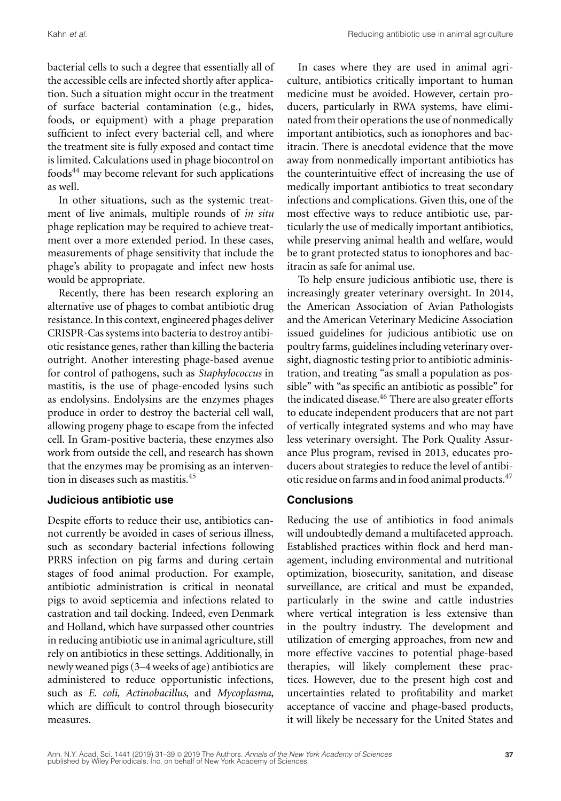bacterial cells to such a degree that essentially all of the accessible cells are infected shortly after application. Such a situation might occur in the treatment of surface bacterial contamination (e.g., hides, foods, or equipment) with a phage preparation sufficient to infect every bacterial cell, and where the treatment site is fully exposed and contact time is limited. Calculations used in phage biocontrol on foods<sup>44</sup> may become relevant for such applications as well.

In other situations, such as the systemic treatment of live animals, multiple rounds of *in situ* phage replication may be required to achieve treatment over a more extended period. In these cases, measurements of phage sensitivity that include the phage's ability to propagate and infect new hosts would be appropriate.

Recently, there has been research exploring an alternative use of phages to combat antibiotic drug resistance. In this context, engineered phages deliver CRISPR-Cas systems into bacteria to destroy antibiotic resistance genes, rather than killing the bacteria outright. Another interesting phage-based avenue for control of pathogens, such as *Staphylococcus* in mastitis, is the use of phage-encoded lysins such as endolysins. Endolysins are the enzymes phages produce in order to destroy the bacterial cell wall, allowing progeny phage to escape from the infected cell. In Gram-positive bacteria, these enzymes also work from outside the cell, and research has shown that the enzymes may be promising as an intervention in diseases such as mastitis.<sup>45</sup>

## **Judicious antibiotic use**

Despite efforts to reduce their use, antibiotics cannot currently be avoided in cases of serious illness, such as secondary bacterial infections following PRRS infection on pig farms and during certain stages of food animal production. For example, antibiotic administration is critical in neonatal pigs to avoid septicemia and infections related to castration and tail docking. Indeed, even Denmark and Holland, which have surpassed other countries in reducing antibiotic use in animal agriculture, still rely on antibiotics in these settings. Additionally, in newly weaned pigs (3–4 weeks of age) antibiotics are administered to reduce opportunistic infections, such as *E. coli, Actinobacillus*, and *Mycoplasma*, which are difficult to control through biosecurity measures.

In cases where they are used in animal agriculture, antibiotics critically important to human medicine must be avoided. However, certain producers, particularly in RWA systems, have eliminated from their operations the use of nonmedically important antibiotics, such as ionophores and bacitracin. There is anecdotal evidence that the move away from nonmedically important antibiotics has the counterintuitive effect of increasing the use of medically important antibiotics to treat secondary infections and complications. Given this, one of the most effective ways to reduce antibiotic use, particularly the use of medically important antibiotics, while preserving animal health and welfare, would be to grant protected status to ionophores and bacitracin as safe for animal use.

To help ensure judicious antibiotic use, there is increasingly greater veterinary oversight. In 2014, the American Association of Avian Pathologists and the American Veterinary Medicine Association issued guidelines for judicious antibiotic use on poultry farms, guidelines including veterinary oversight, diagnostic testing prior to antibiotic administration, and treating "as small a population as possible" with "as specific an antibiotic as possible" for the indicated disease.<sup>46</sup> There are also greater efforts to educate independent producers that are not part of vertically integrated systems and who may have less veterinary oversight. The Pork Quality Assurance Plus program, revised in 2013, educates producers about strategies to reduce the level of antibiotic residue on farms and in food animal products.<sup>47</sup>

# **Conclusions**

Reducing the use of antibiotics in food animals will undoubtedly demand a multifaceted approach. Established practices within flock and herd management, including environmental and nutritional optimization, biosecurity, sanitation, and disease surveillance, are critical and must be expanded, particularly in the swine and cattle industries where vertical integration is less extensive than in the poultry industry. The development and utilization of emerging approaches, from new and more effective vaccines to potential phage-based therapies, will likely complement these practices. However, due to the present high cost and uncertainties related to profitability and market acceptance of vaccine and phage-based products, it will likely be necessary for the United States and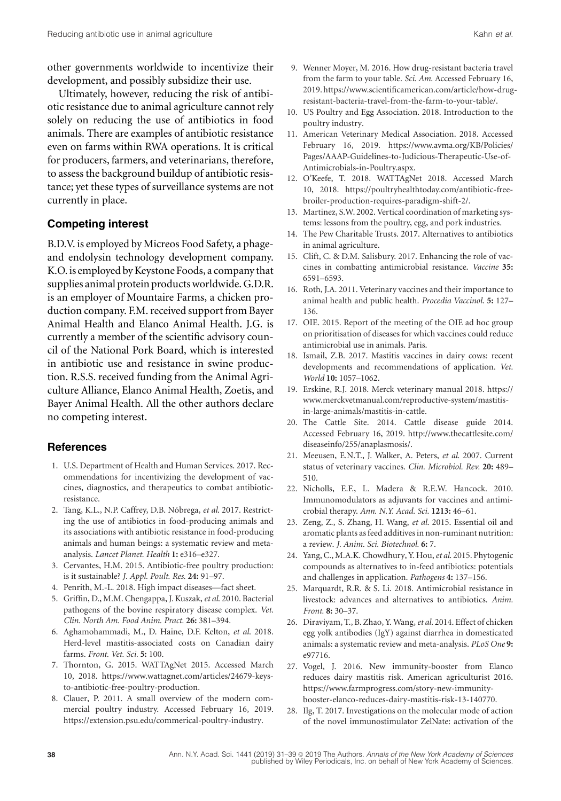other governments worldwide to incentivize their development, and possibly subsidize their use.

Ultimately, however, reducing the risk of antibiotic resistance due to animal agriculture cannot rely solely on reducing the use of antibiotics in food animals. There are examples of antibiotic resistance even on farms within RWA operations. It is critical for producers, farmers, and veterinarians, therefore, to assess the background buildup of antibiotic resistance; yet these types of surveillance systems are not currently in place.

### **Competing interest**

B.D.V. is employed by Micreos Food Safety, a phageand endolysin technology development company. K.O. is employed by Keystone Foods, a company that supplies animal protein products worldwide. G.D.R. is an employer of Mountaire Farms, a chicken production company. F.M. received support from Bayer Animal Health and Elanco Animal Health. J.G. is currently a member of the scientific advisory council of the National Pork Board, which is interested in antibiotic use and resistance in swine production. R.S.S. received funding from the Animal Agriculture Alliance, Elanco Animal Health, Zoetis, and Bayer Animal Health. All the other authors declare no competing interest.

### **References**

- 1. U.S. Department of Health and Human Services. 2017. Recommendations for incentivizing the development of vaccines, diagnostics, and therapeutics to combat antibioticresistance.
- 2. Tang, K.L., N.P. Caffrey, D.B. Nóbrega, et al. 2017. Restricting the use of antibiotics in food-producing animals and its associations with antibiotic resistance in food-producing animals and human beings: a systematic review and metaanalysis. *Lancet Planet. Health* **1:** e316–e327.
- 3. Cervantes, H.M. 2015. Antibiotic-free poultry production: is it sustainable? *J. Appl. Poult. Res.* **24:** 91–97.
- 4. Penrith, M.-L. 2018. High impact diseases—fact sheet.
- 5. Griffin, D., M.M. Chengappa, J. Kuszak,*et al*. 2010. Bacterial pathogens of the bovine respiratory disease complex. *Vet. Clin. North Am. Food Anim. Pract.* **26:** 381–394.
- 6. Aghamohammadi, M., D. Haine, D.F. Kelton, *et al*. 2018. Herd-level mastitis-associated costs on Canadian dairy farms. *Front. Vet. Sci.* **5:** 100.
- 7. Thornton, G. 2015. WATTAgNet 2015. Accessed March 10, 2018. [https://www.wattagnet.com/articles/24679-keys](https://www.wattagnet.com/articles/24679-keys-to-antibiotic-free-poultry-production)[to-antibiotic-free-poultry-production.](https://www.wattagnet.com/articles/24679-keys-to-antibiotic-free-poultry-production)
- 8. Clauer, P. 2011. A small overview of the modern commercial poultry industry. Accessed February 16, 2019. [https://extension.psu.edu/commerical-poultry-industry.](https://extension.psu.edu/commerical-poultry-industry)
- 9. Wenner Moyer, M. 2016. How drug-resistant bacteria travel from the farm to your table. *Sci. Am*. Accessed February 16, 2019. [https://www.scientificamerican.com/article/how-drug](https://www.scientificamerican.com/article/how-drug-resistant-bacteria-travel-from-the-farm-to-your-table/)[resistant-bacteria-travel-from-the-farm-to-your-table/.](https://www.scientificamerican.com/article/how-drug-resistant-bacteria-travel-from-the-farm-to-your-table/)
- 10. US Poultry and Egg Association. 2018. Introduction to the poultry industry.
- 11. American Veterinary Medical Association. 2018. Accessed February 16, 2019. [https://www.avma.org/KB/Policies/](https://www.avma.org/KB/Policies/Pages/AAAP-Guidelines-to-Judicious-Therapeutic-Use-of-Antimicrobials-in-Poultry.aspx) [Pages/AAAP-Guidelines-to-Judicious-Therapeutic-Use-of-](https://www.avma.org/KB/Policies/Pages/AAAP-Guidelines-to-Judicious-Therapeutic-Use-of-Antimicrobials-in-Poultry.aspx)[Antimicrobials-in-Poultry.aspx.](https://www.avma.org/KB/Policies/Pages/AAAP-Guidelines-to-Judicious-Therapeutic-Use-of-Antimicrobials-in-Poultry.aspx)
- 12. O'Keefe, T. 2018. WATTAgNet 2018. Accessed March 10, 2018. [https://poultryhealthtoday.com/antibiotic-free](https://poultryhealthtoday.com/antibiotic-free-broiler-production-requires-paradigm-shift-2/)[broiler-production-requires-paradigm-shift-2/.](https://poultryhealthtoday.com/antibiotic-free-broiler-production-requires-paradigm-shift-2/)
- 13. Martinez, S.W. 2002. Vertical coordination of marketing systems: lessons from the poultry, egg, and pork industries.
- 14. The Pew Charitable Trusts. 2017. Alternatives to antibiotics in animal agriculture.
- 15. Clift, C. & D.M. Salisbury. 2017. Enhancing the role of vaccines in combatting antimicrobial resistance. *Vaccine* **35:** 6591–6593.
- 16. Roth, J.A. 2011. Veterinary vaccines and their importance to animal health and public health. *Procedia Vaccinol*. **5:** 127– 136.
- 17. OIE. 2015. Report of the meeting of the OIE ad hoc group on prioritisation of diseases for which vaccines could reduce antimicrobial use in animals. Paris.
- 18. Ismail, Z.B. 2017. Mastitis vaccines in dairy cows: recent developments and recommendations of application. *Vet. World* **10:** 1057–1062.
- 19. Erskine, R.J. 2018. Merck veterinary manual 2018. [https://](https://www.merckvetmanual.com/reproductive-system/mastitis-in-large-animals/mastitis-in-cattle) [www.merckvetmanual.com/reproductive-system/mastitis](https://www.merckvetmanual.com/reproductive-system/mastitis-in-large-animals/mastitis-in-cattle)[in-large-animals/mastitis-in-cattle.](https://www.merckvetmanual.com/reproductive-system/mastitis-in-large-animals/mastitis-in-cattle)
- 20. The Cattle Site. 2014. Cattle disease guide 2014. Accessed February 16, 2019. [http://www.thecattlesite.com/](http://www.thecattlesite.com/diseaseinfo/255/anaplasmosis/) [diseaseinfo/255/anaplasmosis/.](http://www.thecattlesite.com/diseaseinfo/255/anaplasmosis/)
- 21. Meeusen, E.N.T., J. Walker, A. Peters, *et al*. 2007. Current status of veterinary vaccines. *Clin. Microbiol. Rev.* **20:** 489– 510.
- 22. Nicholls, E.F., L. Madera & R.E.W. Hancock. 2010. Immunomodulators as adjuvants for vaccines and antimicrobial therapy. *Ann. N.Y. Acad. Sci.* **1213:** 46–61.
- 23. Zeng, Z., S. Zhang, H. Wang, *et al*. 2015. Essential oil and aromatic plants as feed additives in non-ruminant nutrition: a review. *J. Anim. Sci. Biotechnol.* **6:** 7.
- 24. Yang, C., M.A.K. Chowdhury, Y. Hou,*et al*. 2015. Phytogenic compounds as alternatives to in-feed antibiotics: potentials and challenges in application. *Pathogens* **4:** 137–156.
- 25. Marquardt, R.R. & S. Li. 2018. Antimicrobial resistance in livestock: advances and alternatives to antibiotics. *Anim. Front.* **8:** 30–37.
- 26. Diraviyam, T., B. Zhao, Y. Wang,*et al*. 2014. Effect of chicken egg yolk antibodies (IgY) against diarrhea in domesticated animals: a systematic review and meta-analysis. *PLoS One* **9:** e97716.
- 27. Vogel, J. 2016. New immunity-booster from Elanco reduces dairy mastitis risk. American agriculturist 2016. [https://www.farmprogress.com/story-new-immunity](https://www.farmprogress.com/story-new-immunity-booster-elanco-reduces-dairy-mastitis-risk-13-140770)[booster-elanco-reduces-dairy-mastitis-risk-13-140770.](https://www.farmprogress.com/story-new-immunity-booster-elanco-reduces-dairy-mastitis-risk-13-140770)
- 28. Ilg, T. 2017. Investigations on the molecular mode of action of the novel immunostimulator ZelNate: activation of the